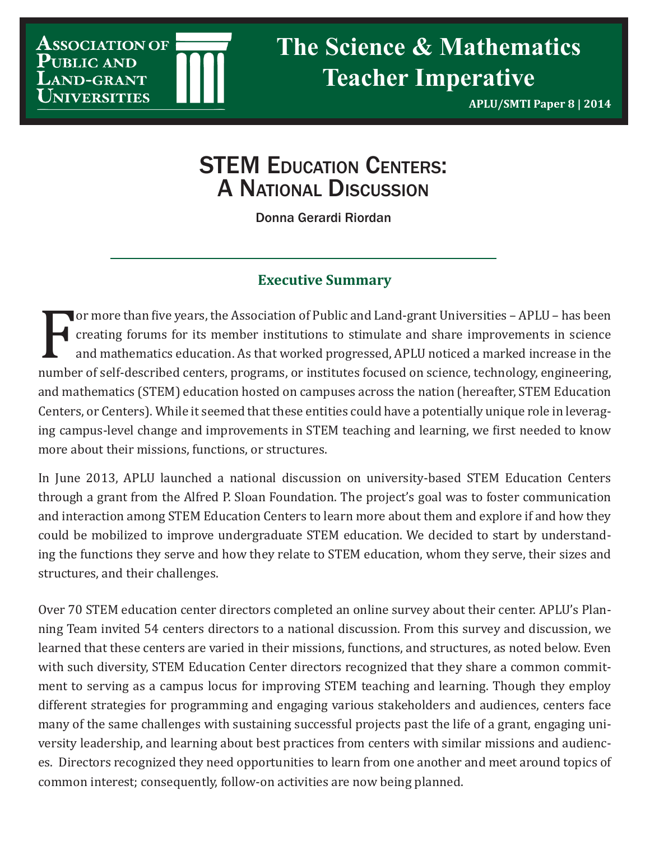**Association of** UBLIC AND *ERSITIES* 

**APLU/SMTI Paper 8 | 2014**

# **STEM EDUCATION CENTERS:** A National Discussion

Donna Gerardi Riordan

## **Executive Summary**

For more chan the years, are reserved on a barrelated and share improvements in science<br>and mathematics education. As that worked progressed, APLU noticed a marked increase in the<br>number of self-described centers, programs or more than five years, the Association of Public and Land-grant Universities – APLU – has been creating forums for its member institutions to stimulate and share improvements in science and mathematics education. As that worked progressed, APLU noticed a marked increase in the and mathematics (STEM) education hosted on campuses across the nation (hereafter, STEM Education Centers, or Centers). While it seemed that these entities could have a potentially unique role in leveraging campus-level change and improvements in STEM teaching and learning, we first needed to know more about their missions, functions, or structures.

In June 2013, APLU launched a national discussion on university-based STEM Education Centers through a grant from the Alfred P. Sloan Foundation. The project's goal was to foster communication and interaction among STEM Education Centers to learn more about them and explore if and how they could be mobilized to improve undergraduate STEM education. We decided to start by understanding the functions they serve and how they relate to STEM education, whom they serve, their sizes and structures, and their challenges.

Over 70 STEM education center directors completed an online survey about their center. APLU's Planning Team invited 54 centers directors to a national discussion. From this survey and discussion, we learned that these centers are varied in their missions, functions, and structures, as noted below. Even with such diversity, STEM Education Center directors recognized that they share a common commitment to serving as a campus locus for improving STEM teaching and learning. Though they employ different strategies for programming and engaging various stakeholders and audiences, centers face many of the same challenges with sustaining successful projects past the life of a grant, engaging university leadership, and learning about best practices from centers with similar missions and audiences. Directors recognized they need opportunities to learn from one another and meet around topics of common interest; consequently, follow-on activities are now being planned.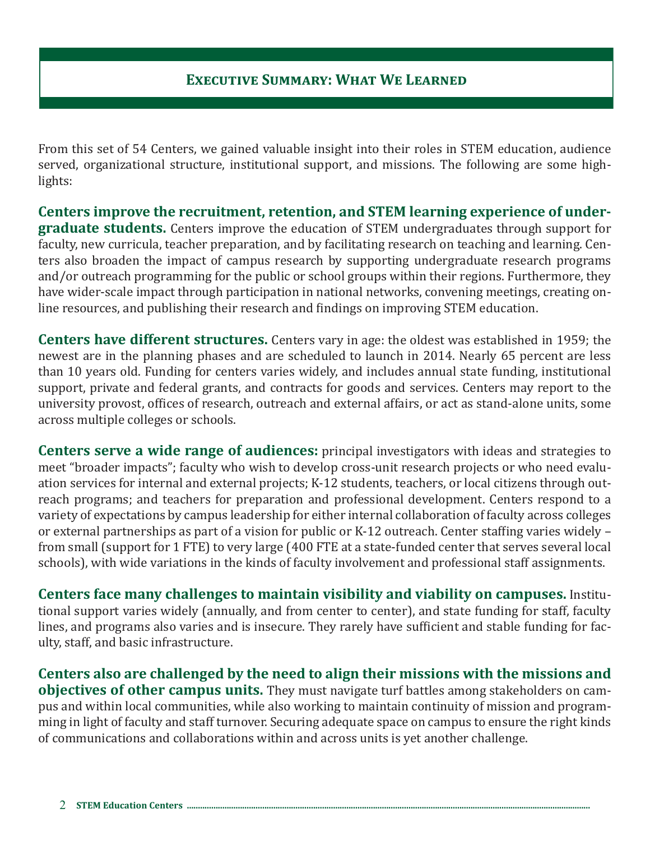From this set of 54 Centers, we gained valuable insight into their roles in STEM education, audience served, organizational structure, institutional support, and missions. The following are some highlights:

**Centers improve the recruitment, retention, and STEM learning experience of undergraduate students.** Centers improve the education of STEM undergraduates through support for faculty, new curricula, teacher preparation, and by facilitating research on teaching and learning. Centers also broaden the impact of campus research by supporting undergraduate research programs and/or outreach programming for the public or school groups within their regions. Furthermore, they have wider-scale impact through participation in national networks, convening meetings, creating online resources, and publishing their research and findings on improving STEM education.

**Centers have different structures.** Centers vary in age: the oldest was established in 1959; the newest are in the planning phases and are scheduled to launch in 2014. Nearly 65 percent are less than 10 years old. Funding for centers varies widely, and includes annual state funding, institutional support, private and federal grants, and contracts for goods and services. Centers may report to the university provost, offices of research, outreach and external affairs, or act as stand-alone units, some across multiple colleges or schools.

**Centers serve a wide range of audiences:** principal investigators with ideas and strategies to meet "broader impacts"; faculty who wish to develop cross-unit research projects or who need evaluation services for internal and external projects; K-12 students, teachers, or local citizens through outreach programs; and teachers for preparation and professional development. Centers respond to a variety of expectations by campus leadership for either internal collaboration of faculty across colleges or external partnerships as part of a vision for public or K-12 outreach. Center staffing varies widely – from small (support for 1 FTE) to very large (400 FTE at a state-funded center that serves several local schools), with wide variations in the kinds of faculty involvement and professional staff assignments.

**Centers face many challenges to maintain visibility and viability on campuses.** Institutional support varies widely (annually, and from center to center), and state funding for staff, faculty lines, and programs also varies and is insecure. They rarely have sufficient and stable funding for faculty, staff, and basic infrastructure.

**Centers also are challenged by the need to align their missions with the missions and objectives of other campus units.** They must navigate turf battles among stakeholders on campus and within local communities, while also working to maintain continuity of mission and programming in light of faculty and staff turnover. Securing adequate space on campus to ensure the right kinds of communications and collaborations within and across units is yet another challenge.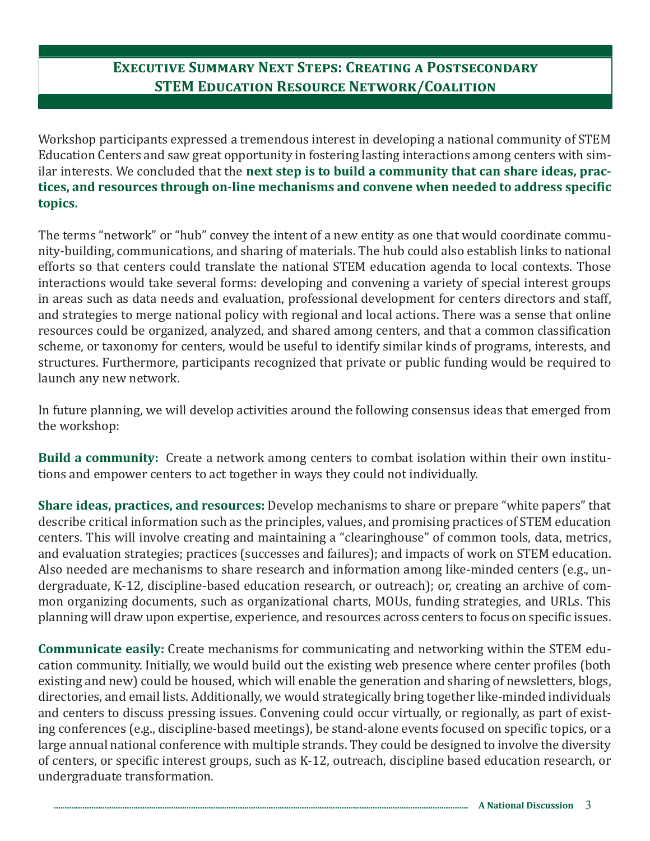# **Executive Summary Next Steps: Creating a Postsecondary STEM Education Resource Network/Coalition**

Workshop participants expressed a tremendous interest in developing a national community of STEM Education Centers and saw great opportunity in fostering lasting interactions among centers with similar interests. We concluded that the **next step is to build a community that can share ideas, practices, and resources through on-line mechanisms and convene when needed to address specific topics.**

The terms "network" or "hub" convey the intent of a new entity as one that would coordinate community-building, communications, and sharing of materials. The hub could also establish links to national efforts so that centers could translate the national STEM education agenda to local contexts. Those interactions would take several forms: developing and convening a variety of special interest groups in areas such as data needs and evaluation, professional development for centers directors and staff, and strategies to merge national policy with regional and local actions. There was a sense that online resources could be organized, analyzed, and shared among centers, and that a common classification scheme, or taxonomy for centers, would be useful to identify similar kinds of programs, interests, and structures. Furthermore, participants recognized that private or public funding would be required to launch any new network.

In future planning, we will develop activities around the following consensus ideas that emerged from the workshop:

**Build a community:** Create a network among centers to combat isolation within their own institutions and empower centers to act together in ways they could not individually.

**Share ideas, practices, and resources:** Develop mechanisms to share or prepare "white papers" that describe critical information such as the principles, values, and promising practices of STEM education centers. This will involve creating and maintaining a "clearinghouse" of common tools, data, metrics, and evaluation strategies; practices (successes and failures); and impacts of work on STEM education. Also needed are mechanisms to share research and information among like-minded centers (e.g., undergraduate, K-12, discipline-based education research, or outreach); or, creating an archive of common organizing documents, such as organizational charts, MOUs, funding strategies, and URLs. This planning will draw upon expertise, experience, and resources across centers to focus on specific issues.

**Communicate easily:** Create mechanisms for communicating and networking within the STEM education community. Initially, we would build out the existing web presence where center profiles (both existing and new) could be housed, which will enable the generation and sharing of newsletters, blogs, directories, and email lists. Additionally, we would strategically bring together like-minded individuals and centers to discuss pressing issues. Convening could occur virtually, or regionally, as part of existing conferences (e.g., discipline-based meetings), be stand-alone events focused on specific topics, or a large annual national conference with multiple strands. They could be designed to involve the diversity of centers, or specific interest groups, such as K-12, outreach, discipline based education research, or undergraduate transformation.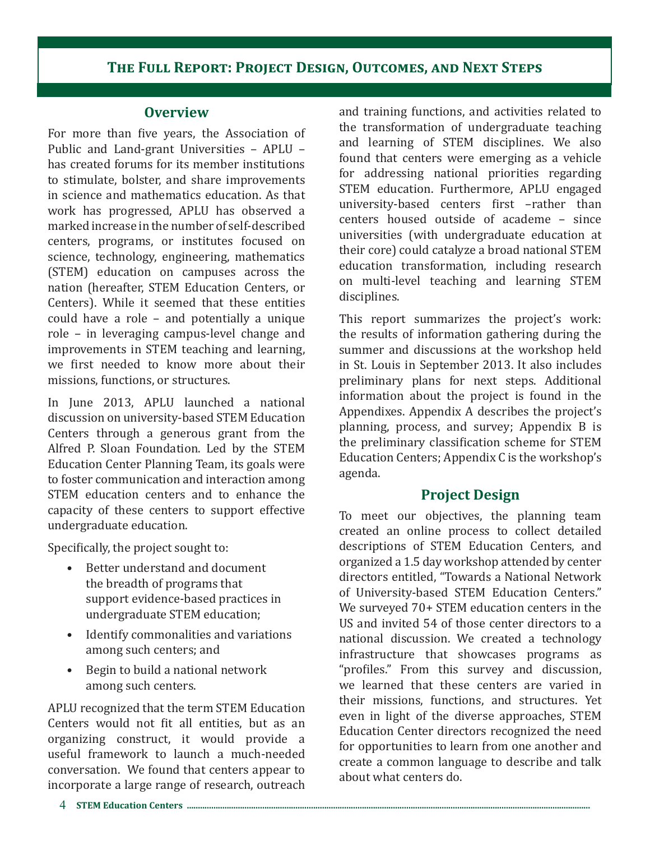## **The Full Report: Project Design, Outcomes, and Next Steps**

#### **Overview**

For more than five years, the Association of Public and Land-grant Universities – APLU – has created forums for its member institutions to stimulate, bolster, and share improvements in science and mathematics education. As that work has progressed, APLU has observed a marked increase in the number of self-described centers, programs, or institutes focused on science, technology, engineering, mathematics (STEM) education on campuses across the nation (hereafter, STEM Education Centers, or Centers). While it seemed that these entities could have a role – and potentially a unique role – in leveraging campus-level change and improvements in STEM teaching and learning, we first needed to know more about their missions, functions, or structures.

In June 2013, APLU launched a national discussion on university-based STEM Education Centers through a generous grant from the Alfred P. Sloan Foundation. Led by the STEM Education Center Planning Team, its goals were to foster communication and interaction among STEM education centers and to enhance the capacity of these centers to support effective undergraduate education.

Specifically, the project sought to:

- Better understand and document the breadth of programs that support evidence-based practices in undergraduate STEM education;
- Identify commonalities and variations among such centers; and
- Begin to build a national network among such centers.

APLU recognized that the term STEM Education Centers would not fit all entities, but as an organizing construct, it would provide a useful framework to launch a much-needed conversation. We found that centers appear to incorporate a large range of research, outreach

and training functions, and activities related to the transformation of undergraduate teaching and learning of STEM disciplines. We also found that centers were emerging as a vehicle for addressing national priorities regarding STEM education. Furthermore, APLU engaged university-based centers first –rather than centers housed outside of academe – since universities (with undergraduate education at their core) could catalyze a broad national STEM education transformation, including research on multi-level teaching and learning STEM disciplines.

This report summarizes the project's work: the results of information gathering during the summer and discussions at the workshop held in St. Louis in September 2013. It also includes preliminary plans for next steps. Additional information about the project is found in the Appendixes. Appendix A describes the project's planning, process, and survey; Appendix B is the preliminary classification scheme for STEM Education Centers; Appendix C is the workshop's agenda.

## **Project Design**

To meet our objectives, the planning team created an online process to collect detailed descriptions of STEM Education Centers, and organized a 1.5 day workshop attended by center directors entitled, "Towards a National Network of University-based STEM Education Centers." We surveyed 70+ STEM education centers in the US and invited 54 of those center directors to a national discussion. We created a technology infrastructure that showcases programs as "profiles." From this survey and discussion, we learned that these centers are varied in their missions, functions, and structures. Yet even in light of the diverse approaches, STEM Education Center directors recognized the need for opportunities to learn from one another and create a common language to describe and talk about what centers do.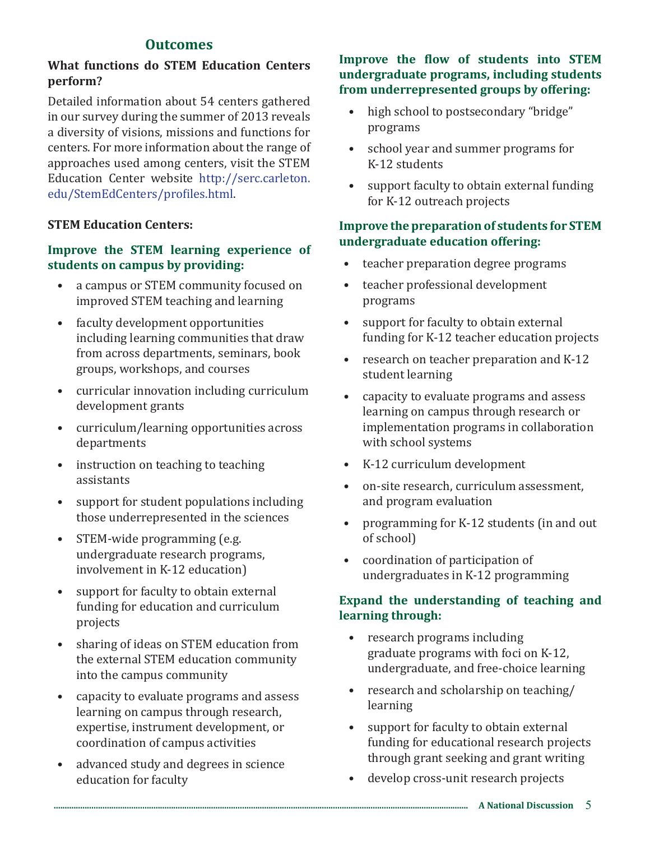## **Outcomes**

#### **What functions do STEM Education Centers perform?**

Detailed information about 54 centers gathered in our survey during the summer of 2013 reveals a diversity of visions, missions and functions for centers. For more information about the range of approaches used among centers, visit the STEM Education Center website http://serc.carleton. edu/StemEdCenters/profiles.html.

#### **STEM Education Centers:**

#### **Improve the STEM learning experience of students on campus by providing:**

- a campus or STEM community focused on improved STEM teaching and learning
- faculty development opportunities including learning communities that draw from across departments, seminars, book groups, workshops, and courses
- curricular innovation including curriculum development grants
- curriculum/learning opportunities across departments
- instruction on teaching to teaching assistants
- support for student populations including those underrepresented in the sciences
- STEM-wide programming (e.g. undergraduate research programs, involvement in K-12 education)
- support for faculty to obtain external funding for education and curriculum projects
- sharing of ideas on STEM education from the external STEM education community into the campus community
- capacity to evaluate programs and assess learning on campus through research, expertise, instrument development, or coordination of campus activities
- advanced study and degrees in science education for faculty

#### **Improve the flow of students into STEM undergraduate programs, including students from underrepresented groups by offering:**

- high school to postsecondary "bridge" programs
- school year and summer programs for K-12 students
- support faculty to obtain external funding for K-12 outreach projects

#### **Improve the preparation of students for STEM undergraduate education offering:**

- teacher preparation degree programs
- teacher professional development programs
- support for faculty to obtain external funding for K-12 teacher education projects
- research on teacher preparation and K-12 student learning
- capacity to evaluate programs and assess learning on campus through research or implementation programs in collaboration with school systems
- K-12 curriculum development
- on-site research, curriculum assessment, and program evaluation
- programming for K-12 students (in and out of school)
- coordination of participation of undergraduates in K-12 programming

## **Expand the understanding of teaching and learning through:**

- research programs including graduate programs with foci on K-12, undergraduate, and free-choice learning
- research and scholarship on teaching/ learning
- support for faculty to obtain external funding for educational research projects through grant seeking and grant writing
- develop cross-unit research projects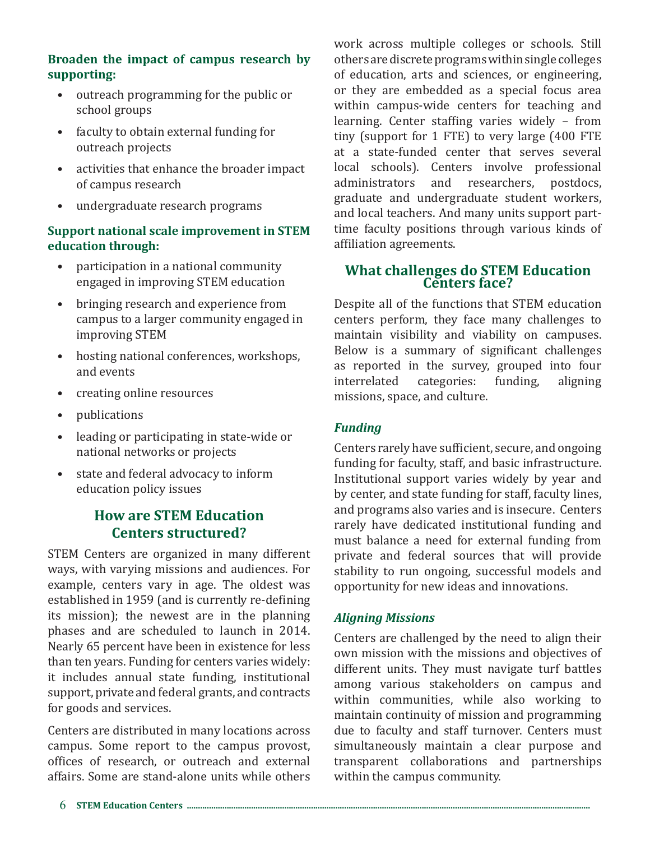#### **Broaden the impact of campus research by supporting:**

- outreach programming for the public or school groups
- faculty to obtain external funding for outreach projects
- activities that enhance the broader impact of campus research
- undergraduate research programs

## **Support national scale improvement in STEM education through:**

- participation in a national community engaged in improving STEM education
- bringing research and experience from campus to a larger community engaged in improving STEM
- hosting national conferences, workshops, and events
- creating online resources
- publications
- leading or participating in state-wide or national networks or projects
- state and federal advocacy to inform education policy issues

## **How are STEM Education Centers structured?**

STEM Centers are organized in many different ways, with varying missions and audiences. For example, centers vary in age. The oldest was established in 1959 (and is currently re-defining its mission); the newest are in the planning phases and are scheduled to launch in 2014. Nearly 65 percent have been in existence for less than ten years. Funding for centers varies widely: it includes annual state funding, institutional support, private and federal grants, and contracts for goods and services.

Centers are distributed in many locations across campus. Some report to the campus provost, offices of research, or outreach and external affairs. Some are stand-alone units while others work across multiple colleges or schools. Still others are discrete programs within single colleges of education, arts and sciences, or engineering, or they are embedded as a special focus area within campus-wide centers for teaching and learning. Center staffing varies widely – from tiny (support for 1 FTE) to very large (400 FTE at a state-funded center that serves several local schools). Centers involve professional<br>administrators and researchers, postdocs, and researchers, postdocs, graduate and undergraduate student workers, and local teachers. And many units support parttime faculty positions through various kinds of affiliation agreements.

# **What challenges do STEM Education Centers face?**

Despite all of the functions that STEM education centers perform, they face many challenges to maintain visibility and viability on campuses. Below is a summary of significant challenges as reported in the survey, grouped into four<br>interrelated categories: funding. aligning interrelated missions, space, and culture.

## *Funding*

Centers rarely have sufficient, secure, and ongoing funding for faculty, staff, and basic infrastructure. Institutional support varies widely by year and by center, and state funding for staff, faculty lines, and programs also varies and is insecure. Centers rarely have dedicated institutional funding and must balance a need for external funding from private and federal sources that will provide stability to run ongoing, successful models and opportunity for new ideas and innovations.

## *Aligning Missions*

Centers are challenged by the need to align their own mission with the missions and objectives of different units. They must navigate turf battles among various stakeholders on campus and within communities, while also working to maintain continuity of mission and programming due to faculty and staff turnover. Centers must simultaneously maintain a clear purpose and transparent collaborations and partnerships within the campus community.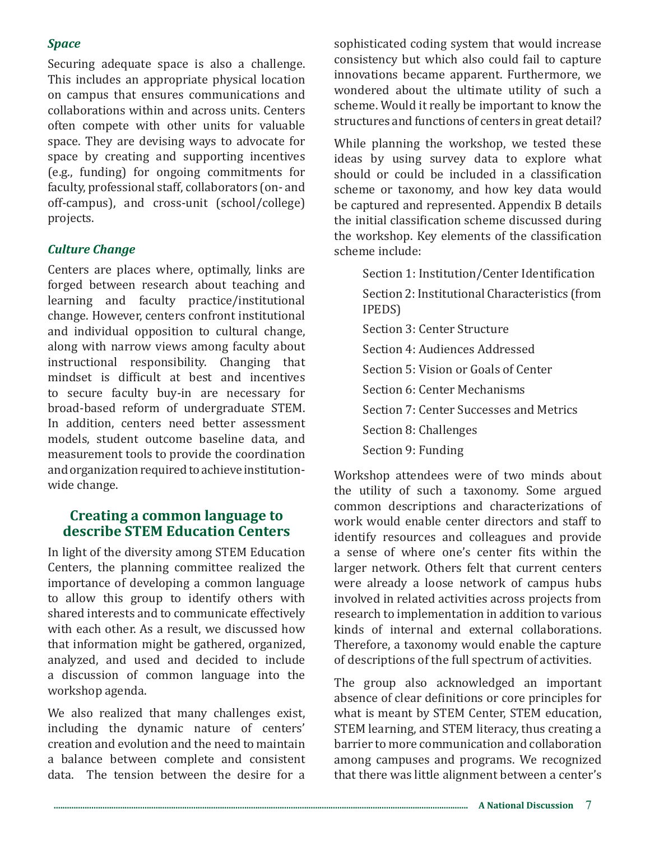#### *Space*

Securing adequate space is also a challenge. This includes an appropriate physical location on campus that ensures communications and collaborations within and across units. Centers often compete with other units for valuable space. They are devising ways to advocate for space by creating and supporting incentives (e.g., funding) for ongoing commitments for faculty, professional staff, collaborators (on- and off-campus), and cross-unit (school/college) projects.

#### *Culture Change*

Centers are places where, optimally, links are forged between research about teaching and learning and faculty practice/institutional change. However, centers confront institutional and individual opposition to cultural change, along with narrow views among faculty about instructional responsibility. Changing that mindset is difficult at best and incentives to secure faculty buy-in are necessary for broad-based reform of undergraduate STEM. In addition, centers need better assessment models, student outcome baseline data, and measurement tools to provide the coordination and organization required to achieve institutionwide change.

#### **Creating a common language to describe STEM Education Centers**

In light of the diversity among STEM Education Centers, the planning committee realized the importance of developing a common language to allow this group to identify others with shared interests and to communicate effectively with each other. As a result, we discussed how that information might be gathered, organized, analyzed, and used and decided to include a discussion of common language into the workshop agenda.

We also realized that many challenges exist, including the dynamic nature of centers' creation and evolution and the need to maintain a balance between complete and consistent data. The tension between the desire for a sophisticated coding system that would increase consistency but which also could fail to capture innovations became apparent. Furthermore, we wondered about the ultimate utility of such a scheme. Would it really be important to know the structures and functions of centers in great detail?

While planning the workshop, we tested these ideas by using survey data to explore what should or could be included in a classification scheme or taxonomy, and how key data would be captured and represented. Appendix B details the initial classification scheme discussed during the workshop. Key elements of the classification scheme include:

> Section 1: Institution/Center Identification Section 2: Institutional Characteristics (from IPEDS) Section 3: Center Structure Section 4: Audiences Addressed Section 5: Vision or Goals of Center Section 6: Center Mechanisms Section 7: Center Successes and Metrics Section 8: Challenges Section 9: Funding

Workshop attendees were of two minds about the utility of such a taxonomy. Some argued common descriptions and characterizations of work would enable center directors and staff to identify resources and colleagues and provide a sense of where one's center fits within the larger network. Others felt that current centers were already a loose network of campus hubs involved in related activities across projects from research to implementation in addition to various kinds of internal and external collaborations. Therefore, a taxonomy would enable the capture of descriptions of the full spectrum of activities.

The group also acknowledged an important absence of clear definitions or core principles for what is meant by STEM Center, STEM education, STEM learning, and STEM literacy, thus creating a barrier to more communication and collaboration among campuses and programs. We recognized that there was little alignment between a center's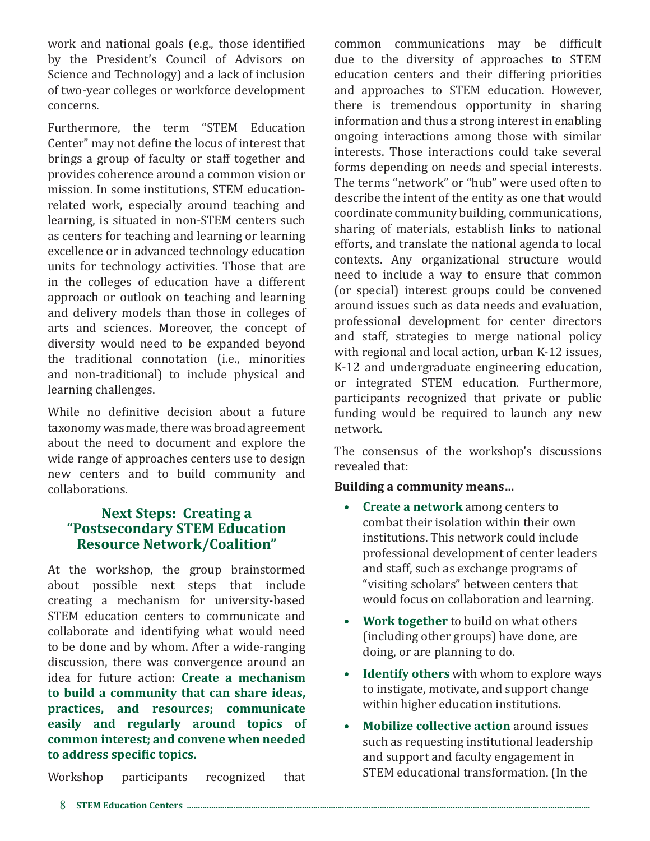work and national goals (e.g., those identified by the President's Council of Advisors on Science and Technology) and a lack of inclusion of two-year colleges or workforce development concerns.

Furthermore, the term "STEM Education Center" may not define the locus of interest that brings a group of faculty or staff together and provides coherence around a common vision or mission. In some institutions, STEM educationrelated work, especially around teaching and learning, is situated in non-STEM centers such as centers for teaching and learning or learning excellence or in advanced technology education units for technology activities. Those that are in the colleges of education have a different approach or outlook on teaching and learning and delivery models than those in colleges of arts and sciences. Moreover, the concept of diversity would need to be expanded beyond the traditional connotation (i.e., minorities and non-traditional) to include physical and learning challenges.

While no definitive decision about a future taxonomy was made, there was broad agreement about the need to document and explore the wide range of approaches centers use to design new centers and to build community and collaborations.

## **Next Steps: Creating a "Postsecondary STEM Education Resource Network/Coalition"**

At the workshop, the group brainstormed about possible next steps that include creating a mechanism for university-based STEM education centers to communicate and collaborate and identifying what would need to be done and by whom. After a wide-ranging discussion, there was convergence around an idea for future action: **Create a mechanism to build a community that can share ideas, practices, and resources; communicate easily and regularly around topics of common interest; and convene when needed to address specific topics.**

Workshop participants recognized that

common communications may be difficult due to the diversity of approaches to STEM education centers and their differing priorities and approaches to STEM education. However, there is tremendous opportunity in sharing information and thus a strong interest in enabling ongoing interactions among those with similar interests. Those interactions could take several forms depending on needs and special interests. The terms "network" or "hub" were used often to describe the intent of the entity as one that would coordinate community building, communications, sharing of materials, establish links to national efforts, and translate the national agenda to local contexts. Any organizational structure would need to include a way to ensure that common (or special) interest groups could be convened around issues such as data needs and evaluation, professional development for center directors and staff, strategies to merge national policy with regional and local action, urban K-12 issues, K-12 and undergraduate engineering education, or integrated STEM education. Furthermore, participants recognized that private or public funding would be required to launch any new network.

The consensus of the workshop's discussions revealed that:

#### **Building a community means…**

- **• Create a network** among centers to combat their isolation within their own institutions. This network could include professional development of center leaders and staff, such as exchange programs of "visiting scholars" between centers that would focus on collaboration and learning.
- **• Work together** to build on what others (including other groups) have done, are doing, or are planning to do.
- **• Identify others** with whom to explore ways to instigate, motivate, and support change within higher education institutions.
- **• Mobilize collective action** around issues such as requesting institutional leadership and support and faculty engagement in STEM educational transformation. (In the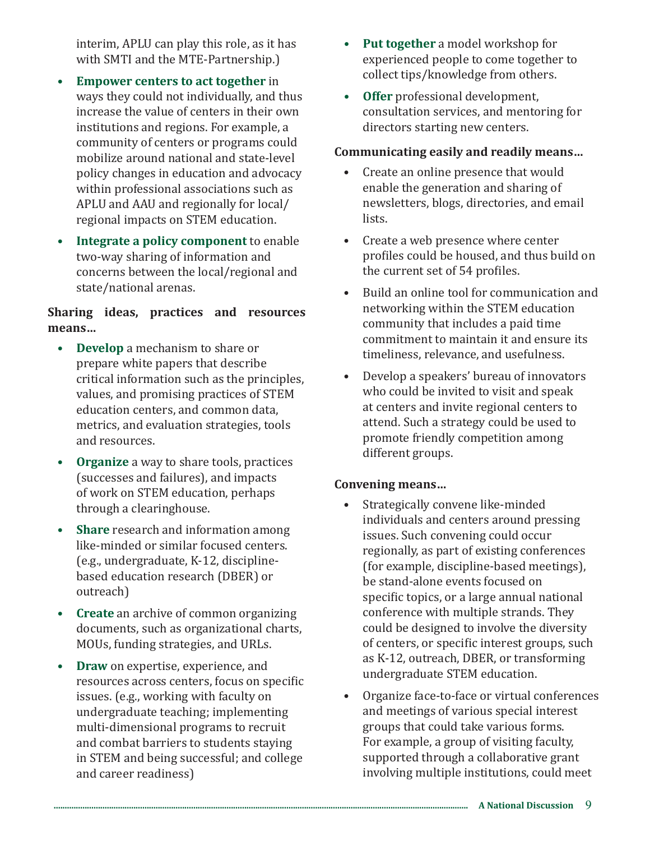interim, APLU can play this role, as it has with SMTI and the MTE-Partnership.)

- **• Empower centers to act together** in ways they could not individually, and thus increase the value of centers in their own institutions and regions. For example, a community of centers or programs could mobilize around national and state-level policy changes in education and advocacy within professional associations such as APLU and AAU and regionally for local/ regional impacts on STEM education.
- **• Integrate a policy component** to enable two-way sharing of information and concerns between the local/regional and state/national arenas.

#### **Sharing ideas, practices and resources means…**

- **• Develop** a mechanism to share or prepare white papers that describe critical information such as the principles, values, and promising practices of STEM education centers, and common data, metrics, and evaluation strategies, tools and resources.
- **• Organize** a way to share tools, practices (successes and failures), and impacts of work on STEM education, perhaps through a clearinghouse.
- **• Share** research and information among like-minded or similar focused centers. (e.g., undergraduate, K-12, disciplinebased education research (DBER) or outreach)
- **• Create** an archive of common organizing documents, such as organizational charts, MOUs, funding strategies, and URLs.
- **• Draw** on expertise, experience, and resources across centers, focus on specific issues. (e.g., working with faculty on undergraduate teaching; implementing multi-dimensional programs to recruit and combat barriers to students staying in STEM and being successful; and college and career readiness)
- **• Put together** a model workshop for experienced people to come together to collect tips/knowledge from others.
- **• Offer** professional development, consultation services, and mentoring for directors starting new centers.

#### **Communicating easily and readily means…**

- Create an online presence that would enable the generation and sharing of newsletters, blogs, directories, and email lists.
- Create a web presence where center profiles could be housed, and thus build on the current set of 54 profiles.
- Build an online tool for communication and networking within the STEM education community that includes a paid time commitment to maintain it and ensure its timeliness, relevance, and usefulness.
- Develop a speakers' bureau of innovators who could be invited to visit and speak at centers and invite regional centers to attend. Such a strategy could be used to promote friendly competition among different groups.

#### **Convening means…**

- Strategically convene like-minded individuals and centers around pressing issues. Such convening could occur regionally, as part of existing conferences (for example, discipline-based meetings), be stand-alone events focused on specific topics, or a large annual national conference with multiple strands. They could be designed to involve the diversity of centers, or specific interest groups, such as K-12, outreach, DBER, or transforming undergraduate STEM education.
- Organize face-to-face or virtual conferences and meetings of various special interest groups that could take various forms. For example, a group of visiting faculty, supported through a collaborative grant involving multiple institutions, could meet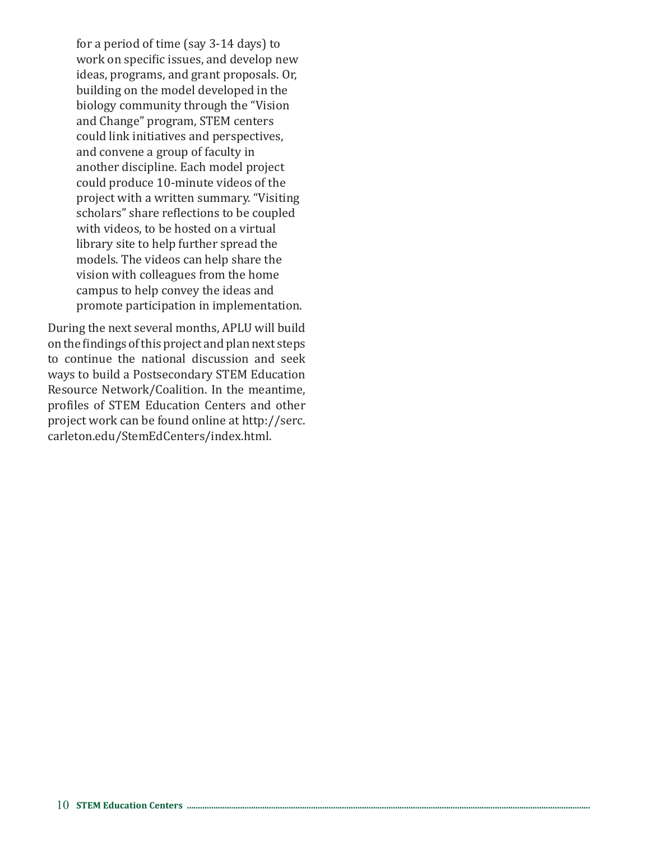for a period of time (say 3-14 days) to work on specific issues, and develop new ideas, programs, and grant proposals. Or, building on the model developed in the biology community through the "Vision and Change" program, STEM centers could link initiatives and perspectives, and convene a group of faculty in another discipline. Each model project could produce 10-minute videos of the project with a written summary. "Visiting scholars" share reflections to be coupled with videos, to be hosted on a virtual library site to help further spread the models. The videos can help share the vision with colleagues from the home campus to help convey the ideas and promote participation in implementation.

During the next several months, APLU will build on the findings of this project and plan next steps to continue the national discussion and seek ways to build a Postsecondary STEM Education Resource Network/Coalition. In the meantime, profiles of STEM Education Centers and other project work can be found online at http://serc. carleton.edu/StemEdCenters/index.html.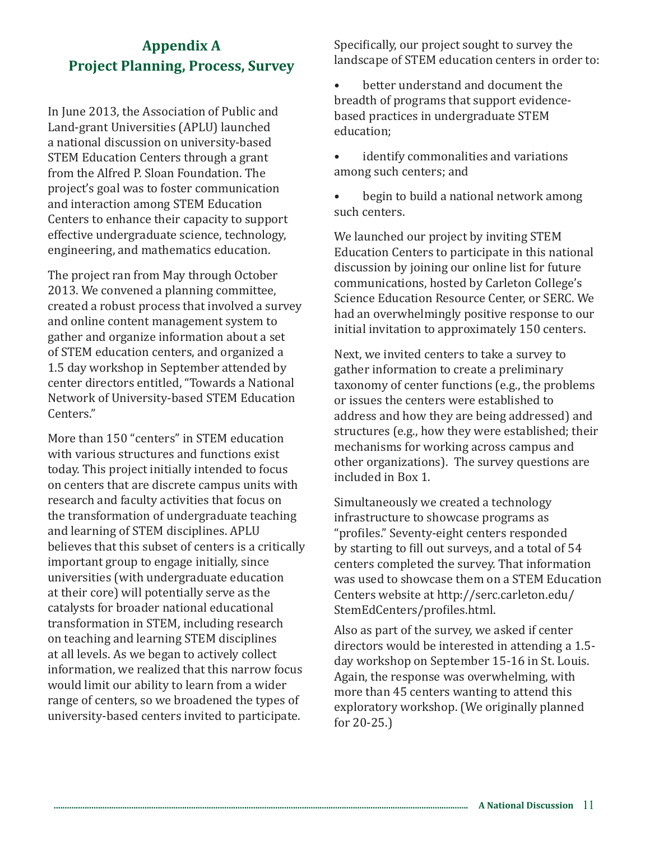# **Appendix A Project Planning, Process, Survey**

In June 2013, the Association of Public and Land-grant Universities (APLU) launched a national discussion on university-based STEM Education Centers through a grant from the Alfred P. Sloan Foundation. The project's goal was to foster communication and interaction among STEM Education Centers to enhance their capacity to support effective undergraduate science, technology, engineering, and mathematics education.

The project ran from May through October 2013. We convened a planning committee, created a robust process that involved a survey and online content management system to gather and organize information about a set of STEM education centers, and organized a 1.5 day workshop in September attended by center directors entitled, "Towards a National Network of University-based STEM Education Centers."

More than 150 "centers" in STEM education with various structures and functions exist today. This project initially intended to focus on centers that are discrete campus units with research and faculty activities that focus on the transformation of undergraduate teaching and learning of STEM disciplines. APLU believes that this subset of centers is a critically important group to engage initially, since universities (with undergraduate education at their core) will potentially serve as the catalysts for broader national educational transformation in STEM, including research on teaching and learning STEM disciplines at all levels. As we began to actively collect information, we realized that this narrow focus would limit our ability to learn from a wider range of centers, so we broadened the types of university-based centers invited to participate.

Specifically, our project sought to survey the landscape of STEM education centers in order to:

better understand and document the breadth of programs that support evidencebased practices in undergraduate STEM education;

identify commonalities and variations among such centers; and

• begin to build a national network among such centers.

We launched our project by inviting STEM Education Centers to participate in this national discussion by joining our online list for future communications, hosted by Carleton College's Science Education Resource Center, or SERC. We had an overwhelmingly positive response to our initial invitation to approximately 150 centers.

Next, we invited centers to take a survey to gather information to create a preliminary taxonomy of center functions (e.g., the problems or issues the centers were established to address and how they are being addressed) and structures (e.g., how they were established; their mechanisms for working across campus and other organizations). The survey questions are included in Box 1.

Simultaneously we created a technology infrastructure to showcase programs as "profiles." Seventy-eight centers responded by starting to fill out surveys, and a total of 54 centers completed the survey. That information was used to showcase them on a STEM Education Centers website at http://serc.carleton.edu/ StemEdCenters/profiles.html.

Also as part of the survey, we asked if center directors would be interested in attending a 1.5 day workshop on September 15-16 in St. Louis. Again, the response was overwhelming, with more than 45 centers wanting to attend this exploratory workshop. (We originally planned for 20-25.)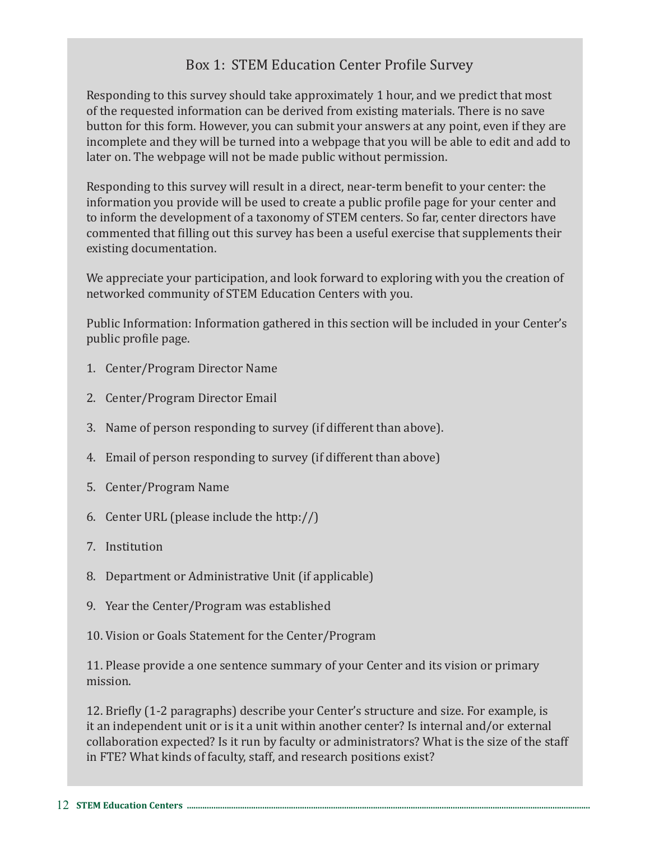## Box 1: STEM Education Center Profile Survey

Responding to this survey should take approximately 1 hour, and we predict that most of the requested information can be derived from existing materials. There is no save button for this form. However, you can submit your answers at any point, even if they are incomplete and they will be turned into a webpage that you will be able to edit and add to later on. The webpage will not be made public without permission.

Responding to this survey will result in a direct, near-term benefit to your center: the information you provide will be used to create a public profile page for your center and to inform the development of a taxonomy of STEM centers. So far, center directors have commented that filling out this survey has been a useful exercise that supplements their existing documentation.

We appreciate your participation, and look forward to exploring with you the creation of networked community of STEM Education Centers with you.

Public Information: Information gathered in this section will be included in your Center's public profile page.

- 1. Center/Program Director Name
- 2. Center/Program Director Email
- 3. Name of person responding to survey (if different than above).
- 4. Email of person responding to survey (if different than above)
- 5. Center/Program Name
- 6. Center URL (please include the http://)
- 7. Institution
- 8. Department or Administrative Unit (if applicable)
- 9. Year the Center/Program was established
- 10. Vision or Goals Statement for the Center/Program

11. Please provide a one sentence summary of your Center and its vision or primary mission.

12. Briefly (1-2 paragraphs) describe your Center's structure and size. For example, is it an independent unit or is it a unit within another center? Is internal and/or external collaboration expected? Is it run by faculty or administrators? What is the size of the staff in FTE? What kinds of faculty, staff, and research positions exist?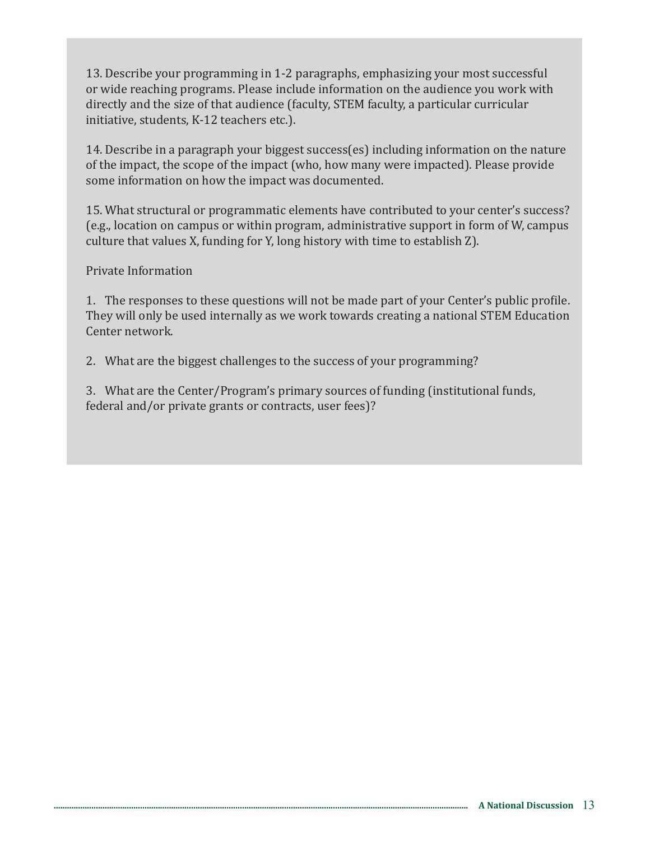13. Describe your programming in 1-2 paragraphs, emphasizing your most successful or wide reaching programs. Please include information on the audience you work with directly and the size of that audience (faculty, STEM faculty, a particular curricular initiative, students, K-12 teachers etc.).

14. Describe in a paragraph your biggest success(es) including information on the nature of the impact, the scope of the impact (who, how many were impacted). Please provide some information on how the impact was documented.

15. What structural or programmatic elements have contributed to your center's success? (e.g., location on campus or within program, administrative support in form of W, campus culture that values X, funding for Y, long history with time to establish Z).

#### Private Information

1. The responses to these questions will not be made part of your Center's public profile. They will only be used internally as we work towards creating a national STEM Education Center network.

2. What are the biggest challenges to the success of your programming?

3. What are the Center/Program's primary sources of funding (institutional funds, federal and/or private grants or contracts, user fees)?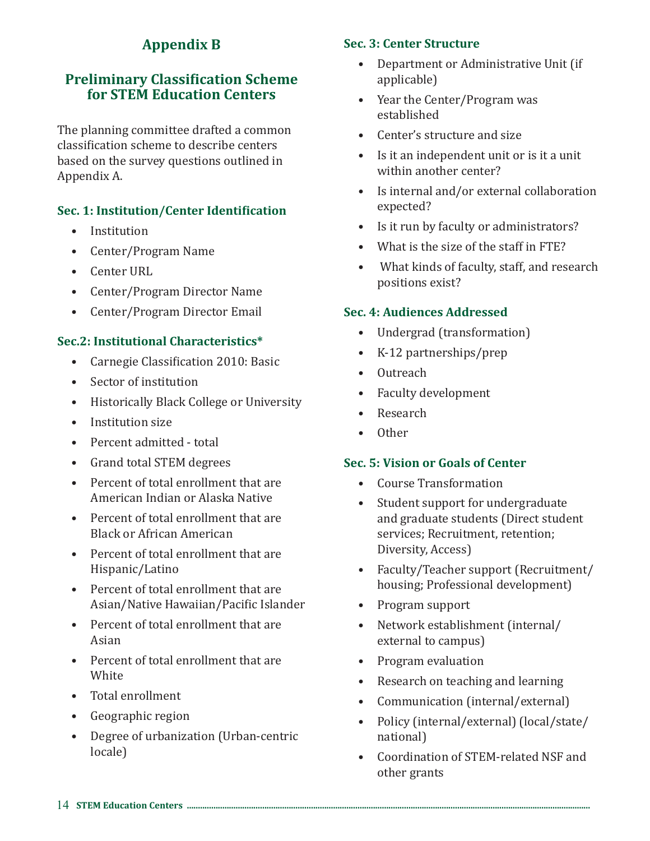# **Appendix B**

## **Preliminary Classification Scheme for STEM Education Centers**

The planning committee drafted a common classification scheme to describe centers based on the survey questions outlined in Appendix A.

#### **Sec. 1: Institution/Center Identification**

- Institution
- Center/Program Name
- Center URL
- Center/Program Director Name
- Center/Program Director Email

#### **Sec.2: Institutional Characteristics\***

- Carnegie Classification 2010: Basic
- Sector of institution
- Historically Black College or University
- Institution size
- Percent admitted total
- Grand total STEM degrees
- Percent of total enrollment that are American Indian or Alaska Native
- Percent of total enrollment that are Black or African American
- Percent of total enrollment that are Hispanic/Latino
- Percent of total enrollment that are Asian/Native Hawaiian/Pacific Islander
- Percent of total enrollment that are Asian
- Percent of total enrollment that are **White**
- Total enrollment
- Geographic region
- Degree of urbanization (Urban-centric locale)

#### **Sec. 3: Center Structure**

- Department or Administrative Unit (if applicable)
- Year the Center/Program was established
- Center's structure and size
- Is it an independent unit or is it a unit within another center?
- Is internal and/or external collaboration expected?
- Is it run by faculty or administrators?
- What is the size of the staff in FTE?
- What kinds of faculty, staff, and research positions exist?

#### **Sec. 4: Audiences Addressed**

- Undergrad (transformation)
- K-12 partnerships/prep
- Outreach
- Faculty development
- Research
- Other

#### **Sec. 5: Vision or Goals of Center**

- Course Transformation
- Student support for undergraduate and graduate students (Direct student services; Recruitment, retention; Diversity, Access)
- Faculty/Teacher support (Recruitment/ housing; Professional development)
- Program support
- Network establishment (internal/ external to campus)
- Program evaluation
- Research on teaching and learning
- Communication (internal/external)
- Policy (internal/external) (local/state/ national)
- Coordination of STEM-related NSF and other grants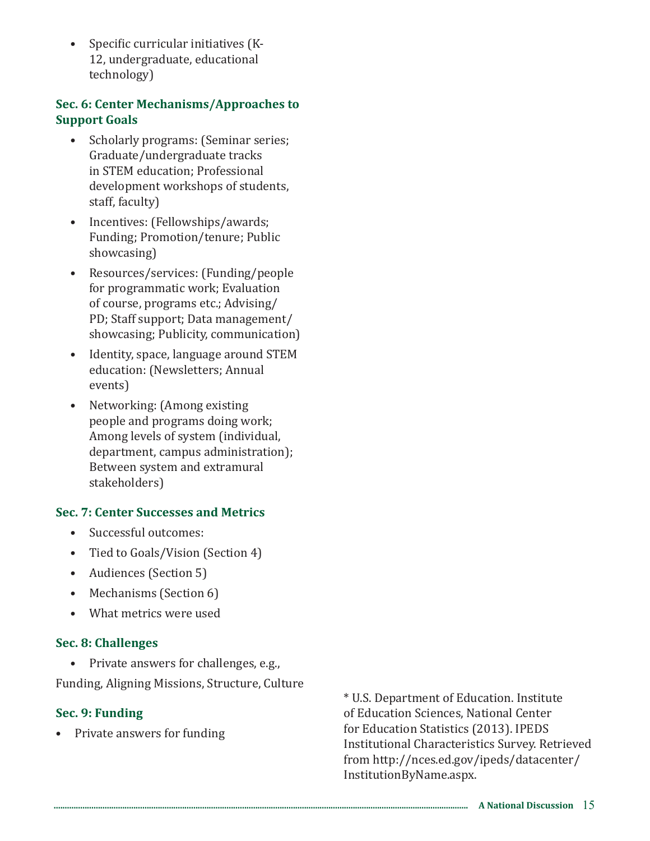• Specific curricular initiatives (K-12, undergraduate, educational technology)

#### **Sec. 6: Center Mechanisms/Approaches to Support Goals**

- Scholarly programs: (Seminar series; Graduate/undergraduate tracks in STEM education; Professional development workshops of students, staff, faculty)
- Incentives: (Fellowships/awards; Funding; Promotion/tenure; Public showcasing)
- Resources/services: (Funding/people for programmatic work; Evaluation of course, programs etc.; Advising/ PD; Staff support; Data management/ showcasing; Publicity, communication)
- Identity, space, language around STEM education: (Newsletters; Annual events)
- Networking: (Among existing people and programs doing work; Among levels of system (individual, department, campus administration); Between system and extramural stakeholders)

#### **Sec. 7: Center Successes and Metrics**

- Successful outcomes:
- Tied to Goals/Vision (Section 4)
- Audiences (Section 5)
- Mechanisms (Section 6)
- What metrics were used

#### **Sec. 8: Challenges**

• Private answers for challenges, e.g.,

Funding, Aligning Missions, Structure, Culture

#### **Sec. 9: Funding**

• Private answers for funding

\* U.S. Department of Education. Institute of Education Sciences, National Center for Education Statistics (2013). IPEDS Institutional Characteristics Survey. Retrieved from http://nces.ed.gov/ipeds/datacenter/ InstitutionByName.aspx.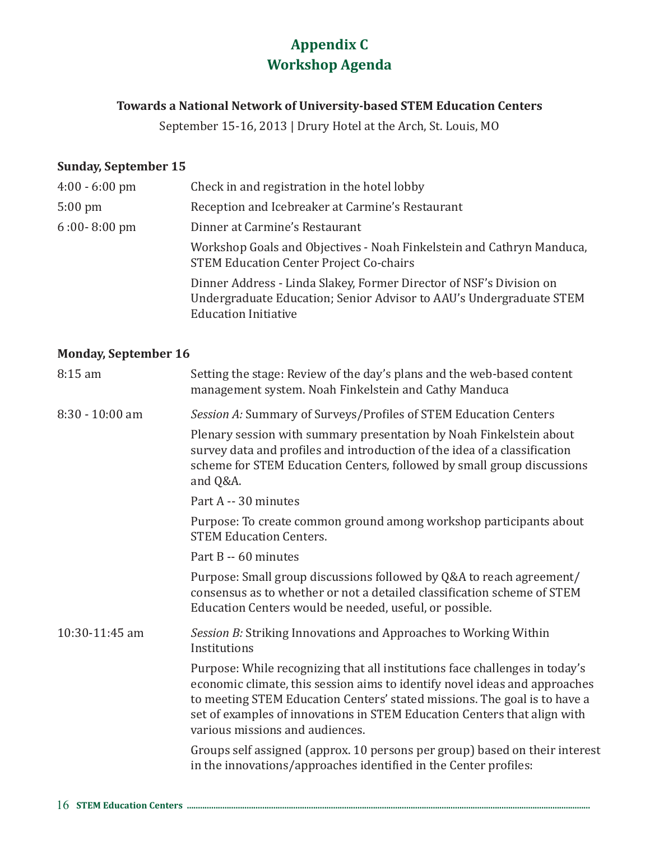# **Appendix C Workshop Agenda**

#### **Towards a National Network of University-based STEM Education Centers**

September 15-16, 2013 | Drury Hotel at the Arch, St. Louis, MO

#### **Sunday, September 15**

| $4:00 - 6:00$ pm  | Check in and registration in the hotel lobby                                                                                                                              |
|-------------------|---------------------------------------------------------------------------------------------------------------------------------------------------------------------------|
| $5:00 \text{ pm}$ | Reception and Icebreaker at Carmine's Restaurant                                                                                                                          |
| $6:00 - 8:00$ pm  | Dinner at Carmine's Restaurant                                                                                                                                            |
|                   | Workshop Goals and Objectives - Noah Finkelstein and Cathryn Manduca,<br><b>STEM Education Center Project Co-chairs</b>                                                   |
|                   | Dinner Address - Linda Slakey, Former Director of NSF's Division on<br>Undergraduate Education; Senior Advisor to AAU's Undergraduate STEM<br><b>Education Initiative</b> |

#### **Monday, September 16**

| $8:15$ am       | Setting the stage: Review of the day's plans and the web-based content<br>management system. Noah Finkelstein and Cathy Manduca                                                                                                                                                                                                                       |
|-----------------|-------------------------------------------------------------------------------------------------------------------------------------------------------------------------------------------------------------------------------------------------------------------------------------------------------------------------------------------------------|
| 8:30 - 10:00 am | Session A: Summary of Surveys/Profiles of STEM Education Centers                                                                                                                                                                                                                                                                                      |
|                 | Plenary session with summary presentation by Noah Finkelstein about<br>survey data and profiles and introduction of the idea of a classification<br>scheme for STEM Education Centers, followed by small group discussions<br>and Q&A.                                                                                                                |
|                 | Part A -- 30 minutes                                                                                                                                                                                                                                                                                                                                  |
|                 | Purpose: To create common ground among workshop participants about<br><b>STEM Education Centers.</b>                                                                                                                                                                                                                                                  |
|                 | Part B -- 60 minutes                                                                                                                                                                                                                                                                                                                                  |
|                 | Purpose: Small group discussions followed by Q&A to reach agreement/<br>consensus as to whether or not a detailed classification scheme of STEM<br>Education Centers would be needed, useful, or possible.                                                                                                                                            |
| 10:30-11:45 am  | Session B: Striking Innovations and Approaches to Working Within<br>Institutions                                                                                                                                                                                                                                                                      |
|                 | Purpose: While recognizing that all institutions face challenges in today's<br>economic climate, this session aims to identify novel ideas and approaches<br>to meeting STEM Education Centers' stated missions. The goal is to have a<br>set of examples of innovations in STEM Education Centers that align with<br>various missions and audiences. |
|                 | Groups self assigned (approx. 10 persons per group) based on their interest<br>in the innovations/approaches identified in the Center profiles:                                                                                                                                                                                                       |
|                 |                                                                                                                                                                                                                                                                                                                                                       |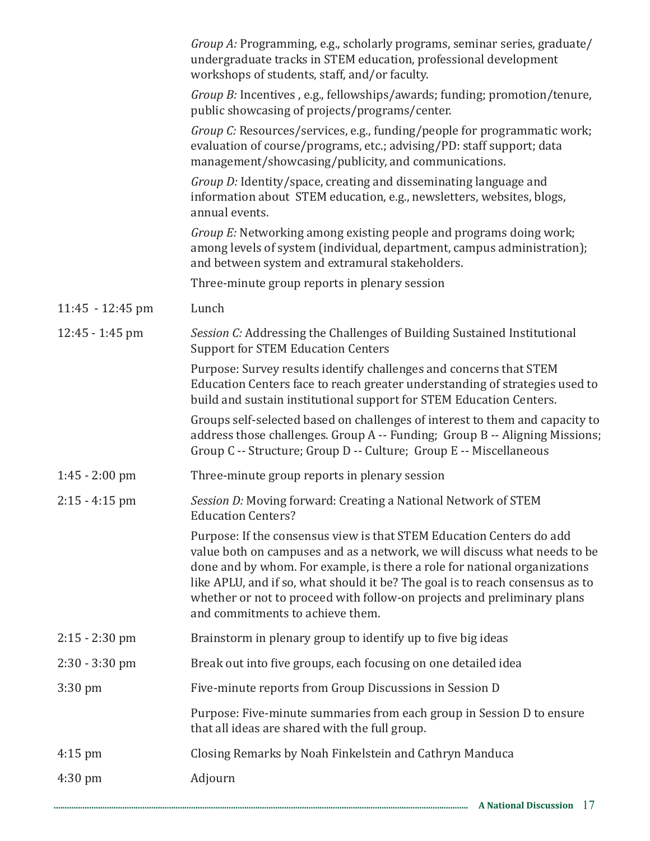|                   | Group A: Programming, e.g., scholarly programs, seminar series, graduate/<br>undergraduate tracks in STEM education, professional development<br>workshops of students, staff, and/or faculty.                                                                                                                                                                                                                                 |
|-------------------|--------------------------------------------------------------------------------------------------------------------------------------------------------------------------------------------------------------------------------------------------------------------------------------------------------------------------------------------------------------------------------------------------------------------------------|
|                   | Group B: Incentives, e.g., fellowships/awards; funding; promotion/tenure,<br>public showcasing of projects/programs/center.                                                                                                                                                                                                                                                                                                    |
|                   | Group C: Resources/services, e.g., funding/people for programmatic work;<br>evaluation of course/programs, etc.; advising/PD: staff support; data<br>management/showcasing/publicity, and communications.                                                                                                                                                                                                                      |
|                   | Group D: Identity/space, creating and disseminating language and<br>information about STEM education, e.g., newsletters, websites, blogs,<br>annual events.                                                                                                                                                                                                                                                                    |
|                   | Group E: Networking among existing people and programs doing work;<br>among levels of system (individual, department, campus administration);<br>and between system and extramural stakeholders.                                                                                                                                                                                                                               |
|                   | Three-minute group reports in plenary session                                                                                                                                                                                                                                                                                                                                                                                  |
| 11:45 - 12:45 pm  | Lunch                                                                                                                                                                                                                                                                                                                                                                                                                          |
| $12:45 - 1:45$ pm | Session C: Addressing the Challenges of Building Sustained Institutional<br><b>Support for STEM Education Centers</b>                                                                                                                                                                                                                                                                                                          |
|                   | Purpose: Survey results identify challenges and concerns that STEM<br>Education Centers face to reach greater understanding of strategies used to<br>build and sustain institutional support for STEM Education Centers.                                                                                                                                                                                                       |
|                   | Groups self-selected based on challenges of interest to them and capacity to<br>address those challenges. Group A -- Funding; Group B -- Aligning Missions;<br>Group C -- Structure; Group D -- Culture; Group E -- Miscellaneous                                                                                                                                                                                              |
| $1:45 - 2:00$ pm  | Three-minute group reports in plenary session                                                                                                                                                                                                                                                                                                                                                                                  |
| $2:15 - 4:15$ pm  | Session D: Moving forward: Creating a National Network of STEM<br><b>Education Centers?</b>                                                                                                                                                                                                                                                                                                                                    |
|                   | Purpose: If the consensus view is that STEM Education Centers do add<br>value both on campuses and as a network, we will discuss what needs to be<br>done and by whom. For example, is there a role for national organizations<br>like APLU, and if so, what should it be? The goal is to reach consensus as to<br>whether or not to proceed with follow-on projects and preliminary plans<br>and commitments to achieve them. |
| $2:15 - 2:30$ pm  | Brainstorm in plenary group to identify up to five big ideas                                                                                                                                                                                                                                                                                                                                                                   |
| $2:30 - 3:30$ pm  | Break out into five groups, each focusing on one detailed idea                                                                                                                                                                                                                                                                                                                                                                 |
| $3:30 \text{ pm}$ | Five-minute reports from Group Discussions in Session D                                                                                                                                                                                                                                                                                                                                                                        |
|                   | Purpose: Five-minute summaries from each group in Session D to ensure<br>that all ideas are shared with the full group.                                                                                                                                                                                                                                                                                                        |
| $4:15 \text{ pm}$ | Closing Remarks by Noah Finkelstein and Cathryn Manduca                                                                                                                                                                                                                                                                                                                                                                        |
| $4:30 \text{ pm}$ | Adjourn                                                                                                                                                                                                                                                                                                                                                                                                                        |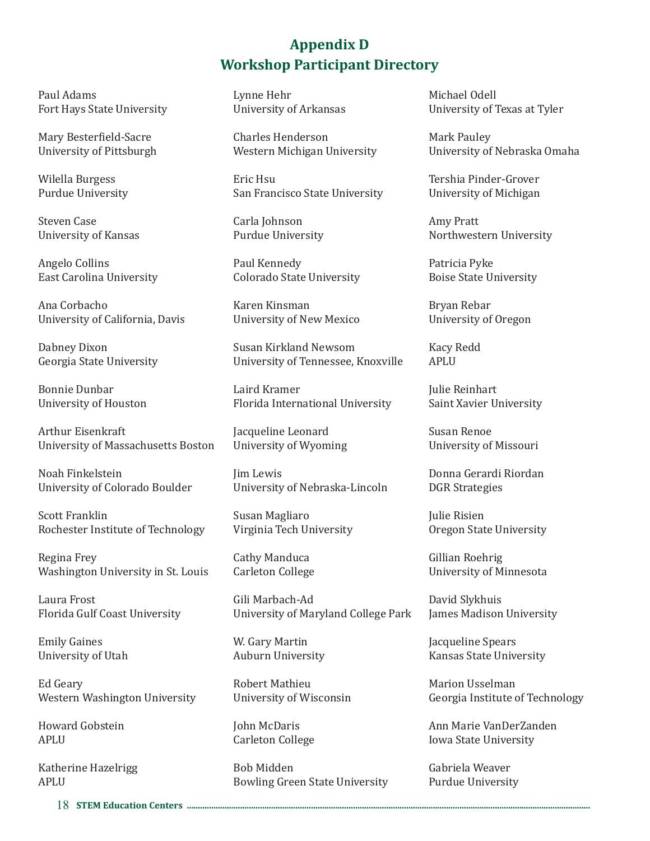# **Appendix D Workshop Participant Directory**

Paul Adams Fort Hays State University

Mary Besterfield-Sacre University of Pittsburgh

Wilella Burgess Purdue University

Steven Case University of Kansas

Angelo Collins East Carolina University

Ana Corbacho University of California, Davis

Dabney Dixon Georgia State University

Bonnie Dunbar University of Houston

Arthur Eisenkraft University of Massachusetts Boston

Noah Finkelstein University of Colorado Boulder

Scott Franklin Rochester Institute of Technology

Regina Frey Washington University in St. Louis

Laura Frost Florida Gulf Coast University

Emily Gaines University of Utah

Ed Geary Western Washington University

Howard Gobstein APLU

Katherine Hazelrigg APLU

Lynne Hehr University of Arkansas

Charles Henderson Western Michigan University

Eric Hsu San Francisco State University

Carla Johnson Purdue University

Paul Kennedy Colorado State University

Karen Kinsman University of New Mexico

Susan Kirkland Newsom University of Tennessee, Knoxville

Laird Kramer Florida International University

Jacqueline Leonard University of Wyoming

Jim Lewis University of Nebraska-Lincoln

Susan Magliaro Virginia Tech University

Cathy Manduca Carleton College

Gili Marbach-Ad University of Maryland College Park

W. Gary Martin Auburn University

Robert Mathieu University of Wisconsin

John McDaris Carleton College

Bob Midden Bowling Green State University Michael Odell University of Texas at Tyler

Mark Pauley University of Nebraska Omaha

Tershia Pinder-Grover University of Michigan

Amy Pratt Northwestern University

Patricia Pyke Boise State University

Bryan Rebar University of Oregon

Kacy Redd APLU

Julie Reinhart Saint Xavier University

Susan Renoe University of Missouri

Donna Gerardi Riordan DGR Strategies

Julie Risien Oregon State University

Gillian Roehrig University of Minnesota

David Slykhuis James Madison University

Jacqueline Spears Kansas State University

Marion Usselman Georgia Institute of Technology

Ann Marie VanDerZanden Iowa State University

Gabriela Weaver Purdue University

18 **STEM Education Centers ......................................................................................................................................................................................**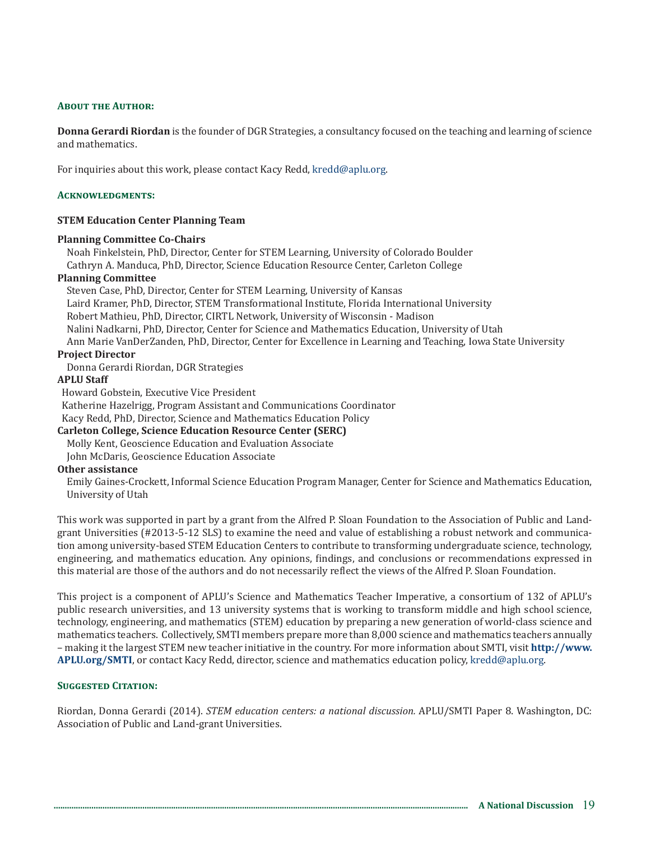#### **About the Author:**

**Donna Gerardi Riordan** is the founder of DGR Strategies, a consultancy focused on the teaching and learning of science and mathematics.

For inquiries about this work, please contact Kacy Redd, kredd@aplu.org.

#### **Acknowledgments:**

#### **STEM Education Center Planning Team**

#### **Planning Committee Co-Chairs**

Noah Finkelstein, PhD, Director, Center for STEM Learning, University of Colorado Boulder Cathryn A. Manduca, PhD, Director, Science Education Resource Center, Carleton College

#### **Planning Committee**

Steven Case, PhD, Director, Center for STEM Learning, University of Kansas Laird Kramer, PhD, Director, STEM Transformational Institute, Florida International University Robert Mathieu, PhD, Director, CIRTL Network, University of Wisconsin - Madison Nalini Nadkarni, PhD, Director, Center for Science and Mathematics Education, University of Utah Ann Marie VanDerZanden, PhD, Director, Center for Excellence in Learning and Teaching, Iowa State University

#### **Project Director**

Donna Gerardi Riordan, DGR Strategies

#### **APLU Staff**

Howard Gobstein, Executive Vice President

Katherine Hazelrigg, Program Assistant and Communications Coordinator

Kacy Redd, PhD, Director, Science and Mathematics Education Policy

#### **Carleton College, Science Education Resource Center (SERC)**

Molly Kent, Geoscience Education and Evaluation Associate

John McDaris, Geoscience Education Associate

#### **Other assistance**

Emily Gaines-Crockett, Informal Science Education Program Manager, Center for Science and Mathematics Education, University of Utah

This work was supported in part by a grant from the Alfred P. Sloan Foundation to the Association of Public and Landgrant Universities (#2013-5-12 SLS) to examine the need and value of establishing a robust network and communication among university-based STEM Education Centers to contribute to transforming undergraduate science, technology, engineering, and mathematics education. Any opinions, findings, and conclusions or recommendations expressed in this material are those of the authors and do not necessarily reflect the views of the Alfred P. Sloan Foundation.

This project is a component of APLU's Science and Mathematics Teacher Imperative, a consortium of 132 of APLU's public research universities, and 13 university systems that is working to transform middle and high school science, technology, engineering, and mathematics (STEM) education by preparing a new generation of world-class science and mathematics teachers. Collectively, SMTI members prepare more than 8,000 science and mathematics teachers annually – making it the largest STEM new teacher initiative in the country. For more information about SMTI, visit **http://www. APLU.org/SMTI**, or contact Kacy Redd, director, science and mathematics education policy, kredd@aplu.org.

#### **Suggested Citation:**

Riordan, Donna Gerardi (2014). *STEM education centers: a national discussion.* APLU/SMTI Paper 8. Washington, DC: Association of Public and Land-grant Universities.